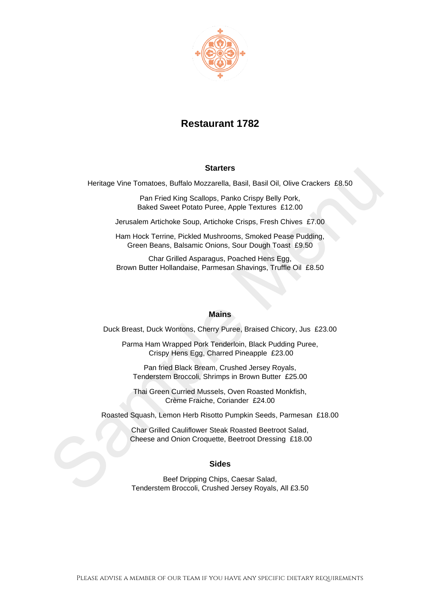

## **Restaurant 1782**

## **Starters**

Heritage Vine Tomatoes, Buffalo Mozzarella, Basil, Basil Oil, Olive Crackers £8.50

Pan Fried King Scallops, Panko Crispy Belly Pork, Baked Sweet Potato Puree, Apple Textures £12.00

Jerusalem Artichoke Soup, Artichoke Crisps, Fresh Chives £7.00

Ham Hock Terrine, Pickled Mushrooms, Smoked Pease Pudding, Green Beans, Balsamic Onions, Sour Dough Toast £9.50

Char Grilled Asparagus, Poached Hens Egg, Brown Butter Hollandaise, Parmesan Shavings, Truffle Oil £8.50

## **Mains**

Duck Breast, Duck Wontons, Cherry Puree, Braised Chicory, Jus £23.00

Parma Ham Wrapped Pork Tenderloin, Black Pudding Puree, Crispy Hens Egg, Charred Pineapple £23.00

Pan fried Black Bream, Crushed Jersey Royals, Tenderstem Broccoli, Shrimps in Brown Butter £25.00

Thai Green Curried Mussels, Oven Roasted Monkfish, Crème Fraiche, Coriander £24.00

Roasted Squash, Lemon Herb Risotto Pumpkin Seeds, Parmesan £18.00

Char Grilled Cauliflower Steak Roasted Beetroot Salad, Cheese and Onion Croquette, Beetroot Dressing £18.00

## **Sides**

Beef Dripping Chips, Caesar Salad, Tenderstem Broccoli, Crushed Jersey Royals, All £3.50